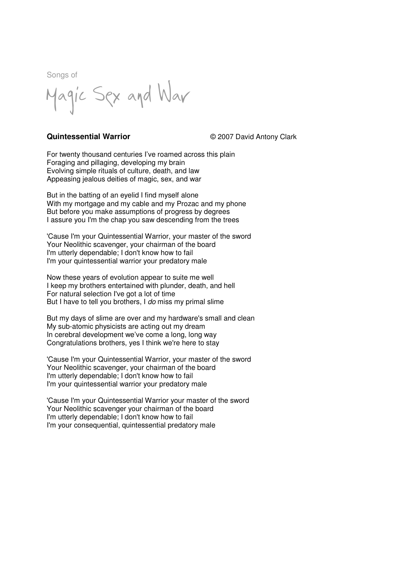Magic Sex and War

## **Quintessential Warrior**  $\degree$  2007 David Antony Clark

For twenty thousand centuries I've roamed across this plain Foraging and pillaging, developing my brain Evolving simple rituals of culture, death, and law Appeasing jealous deities of magic, sex, and war

But in the batting of an eyelid I find myself alone With my mortgage and my cable and my Prozac and my phone But before you make assumptions of progress by degrees I assure you I'm the chap you saw descending from the trees

'Cause I'm your Quintessential Warrior, your master of the sword Your Neolithic scavenger, your chairman of the board I'm utterly dependable; I don't know how to fail I'm your quintessential warrior your predatory male

Now these years of evolution appear to suite me well I keep my brothers entertained with plunder, death, and hell For natural selection I've got a lot of time But I have to tell you brothers, I do miss my primal slime

But my days of slime are over and my hardware's small and clean My sub-atomic physicists are acting out my dream In cerebral development we've come a long, long way Congratulations brothers, yes I think we're here to stay

'Cause I'm your Quintessential Warrior, your master of the sword Your Neolithic scavenger, your chairman of the board I'm utterly dependable; I don't know how to fail I'm your quintessential warrior your predatory male

'Cause I'm your Quintessential Warrior your master of the sword Your Neolithic scavenger your chairman of the board I'm utterly dependable; I don't know how to fail I'm your consequential, quintessential predatory male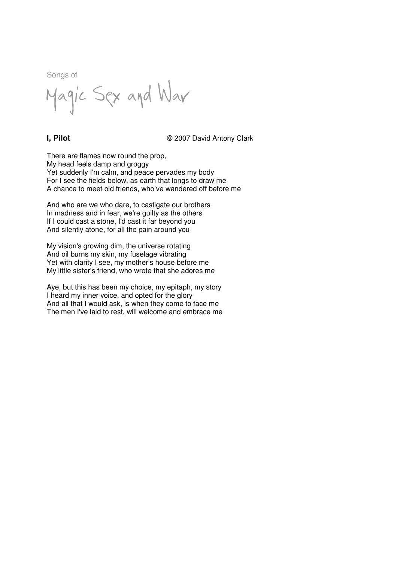Magic Sex and War

**I, Pilot** © 2007 David Antony Clark

There are flames now round the prop, My head feels damp and groggy Yet suddenly I'm calm, and peace pervades my body For I see the fields below, as earth that longs to draw me A chance to meet old friends, who've wandered off before me

And who are we who dare, to castigate our brothers In madness and in fear, we're guilty as the others If I could cast a stone, I'd cast it far beyond you And silently atone, for all the pain around you

My vision's growing dim, the universe rotating And oil burns my skin, my fuselage vibrating Yet with clarity I see, my mother's house before me My little sister's friend, who wrote that she adores me

Aye, but this has been my choice, my epitaph, my story I heard my inner voice, and opted for the glory And all that I would ask, is when they come to face me The men I've laid to rest, will welcome and embrace me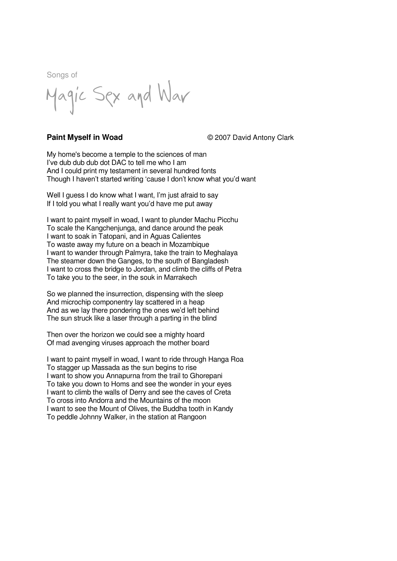Magic Sex and War

**Paint Myself in Woad**  $\degree$  2007 David Antony Clark

My home's become a temple to the sciences of man I've dub dub dub dot DAC to tell me who I am And I could print my testament in several hundred fonts Though I haven't started writing 'cause I don't know what you'd want

Well I guess I do know what I want, I'm just afraid to say If I told you what I really want you'd have me put away

I want to paint myself in woad, I want to plunder Machu Picchu To scale the Kangchenjunga, and dance around the peak I want to soak in Tatopani, and in Aguas Calientes To waste away my future on a beach in Mozambique I want to wander through Palmyra, take the train to Meghalaya The steamer down the Ganges, to the south of Bangladesh I want to cross the bridge to Jordan, and climb the cliffs of Petra To take you to the seer, in the souk in Marrakech

So we planned the insurrection, dispensing with the sleep And microchip componentry lay scattered in a heap And as we lay there pondering the ones we'd left behind The sun struck like a laser through a parting in the blind

Then over the horizon we could see a mighty hoard Of mad avenging viruses approach the mother board

I want to paint myself in woad, I want to ride through Hanga Roa To stagger up Massada as the sun begins to rise I want to show you Annapurna from the trail to Ghorepani To take you down to Homs and see the wonder in your eyes I want to climb the walls of Derry and see the caves of Creta To cross into Andorra and the Mountains of the moon I want to see the Mount of Olives, the Buddha tooth in Kandy To peddle Johnny Walker, in the station at Rangoon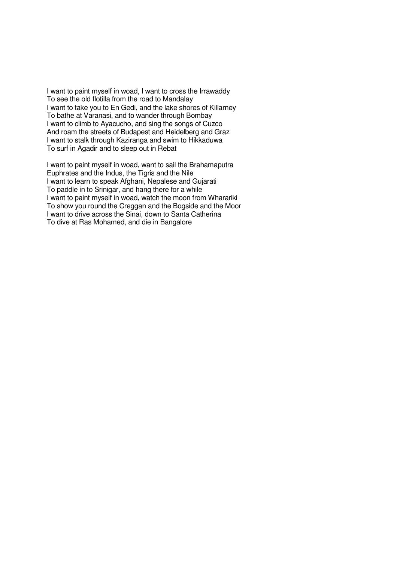I want to paint myself in woad, I want to cross the Irrawaddy To see the old flotilla from the road to Mandalay I want to take you to En Gedi, and the lake shores of Killarney To bathe at Varanasi, and to wander through Bombay I want to climb to Ayacucho, and sing the songs of Cuzco And roam the streets of Budapest and Heidelberg and Graz I want to stalk through Kaziranga and swim to Hikkaduwa To surf in Agadir and to sleep out in Rebat

I want to paint myself in woad, want to sail the Brahamaputra Euphrates and the Indus, the Tigris and the Nile I want to learn to speak Afghani, Nepalese and Gujarati To paddle in to Srinigar, and hang there for a while I want to paint myself in woad, watch the moon from Wharariki To show you round the Creggan and the Bogside and the Moor I want to drive across the Sinai, down to Santa Catherina To dive at Ras Mohamed, and die in Bangalore